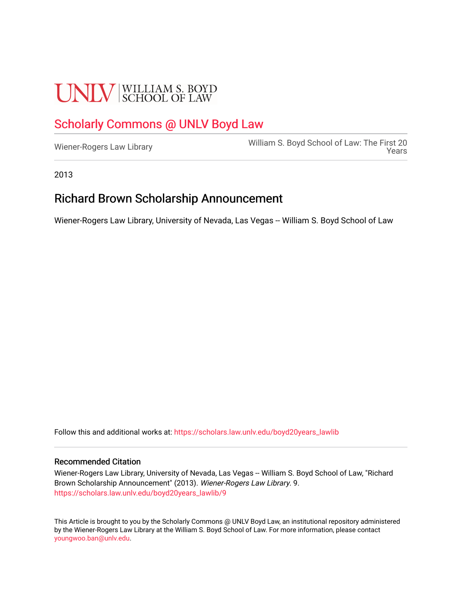# **UNLV** SCHOOL OF LAW

### [Scholarly Commons @ UNLV Boyd Law](https://scholars.law.unlv.edu/)

William S. Boyd School of Law: The First 20<br>[Wiener-Rogers Law Library](https://scholars.law.unlv.edu/boyd20years_lawlib) [Years](https://scholars.law.unlv.edu/boyd20years) 

2013

#### Richard Brown Scholarship Announcement

Wiener-Rogers Law Library, University of Nevada, Las Vegas -- William S. Boyd School of Law

Follow this and additional works at: [https://scholars.law.unlv.edu/boyd20years\\_lawlib](https://scholars.law.unlv.edu/boyd20years_lawlib?utm_source=scholars.law.unlv.edu%2Fboyd20years_lawlib%2F9&utm_medium=PDF&utm_campaign=PDFCoverPages)

#### Recommended Citation

Wiener-Rogers Law Library, University of Nevada, Las Vegas -- William S. Boyd School of Law, "Richard Brown Scholarship Announcement" (2013). Wiener-Rogers Law Library. 9. [https://scholars.law.unlv.edu/boyd20years\\_lawlib/9](https://scholars.law.unlv.edu/boyd20years_lawlib/9?utm_source=scholars.law.unlv.edu%2Fboyd20years_lawlib%2F9&utm_medium=PDF&utm_campaign=PDFCoverPages)

This Article is brought to you by the Scholarly Commons @ UNLV Boyd Law, an institutional repository administered by the Wiener-Rogers Law Library at the William S. Boyd School of Law. For more information, please contact [youngwoo.ban@unlv.edu.](mailto:youngwoo.ban@unlv.edu)